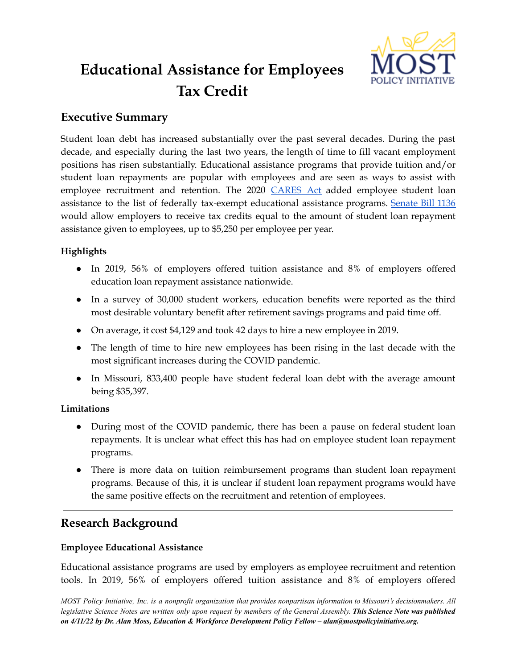

# **Educational Assistance for Employees Tax Credit**

# **Executive Summary**

Student loan debt has increased substantially over the past several decades. During the past decade, and especially during the last two years, the length of time to fill vacant employment positions has risen substantially. Educational assistance programs that provide tuition and/or student loan repayments are popular with employees and are seen as ways to assist with employee recruitment and retention. The 2020 [CARES](https://www.congress.gov/116/bills/hr748/BILLS-116hr748enr.pdf) Act added employee student loan assistance to the list of federally tax-exempt educational assistance programs. [Senate](https://www.senate.mo.gov/22info/BTS_Web/Bill.aspx?SessionType=R&BillID=75554858) Bill 1136 would allow employers to receive tax credits equal to the amount of student loan repayment assistance given to employees, up to \$5,250 per employee per year.

# **Highlights**

- In 2019, 56% of employers offered tuition assistance and 8% of employers offered education loan repayment assistance nationwide.
- In a survey of 30,000 student workers, education benefits were reported as the third most desirable voluntary benefit after retirement savings programs and paid time off.
- On average, it cost \$4,129 and took 42 days to hire a new employee in 2019.
- The length of time to hire new employees has been rising in the last decade with the most significant increases during the COVID pandemic.
- In Missouri, 833,400 people have student federal loan debt with the average amount being \$35,397.

# **Limitations**

- During most of the COVID pandemic, there has been a pause on federal student loan repayments. It is unclear what effect this has had on employee student loan repayment programs.
- There is more data on tuition reimbursement programs than student loan repayment programs. Because of this, it is unclear if student loan repayment programs would have the same positive effects on the recruitment and retention of employees.

# **Research Background**

# **Employee Educational Assistance**

Educational assistance programs are used by employers as employee recruitment and retention tools. In 2019, 56% of employers offered tuition assistance and 8% of employers offered

MOST Policy Initiative, Inc. is a nonprofit organization that provides nonpartisan information to Missouri's decisionmakers. All legislative Science Notes are written only upon request by members of the General Assembly. This Science Note was published *on 4/11/22 by Dr. Alan Moss, Education & Workforce Development Policy Fellow – alan@mostpolicyinitiative.org.*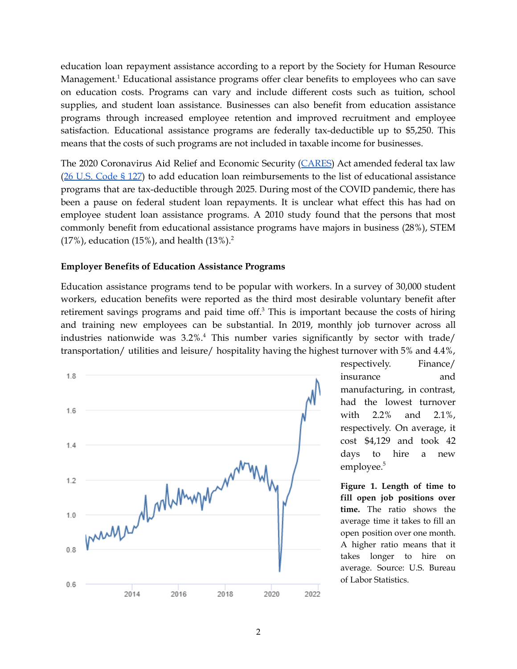education loan repayment assistance according to a report by the Society for Human Resource Management.<sup>1</sup> Educational assistance programs offer clear benefits to employees who can save on education costs. Programs can vary and include different costs such as tuition, school supplies, and student loan assistance. Businesses can also benefit from education assistance programs through increased employee retention and improved recruitment and employee satisfaction. Educational assistance programs are federally tax-deductible up to \$5,250. This means that the costs of such programs are not included in taxable income for businesses.

The 2020 Coronavirus Aid Relief and Economic Security ([CARES\)](https://www.congress.gov/116/bills/hr748/BILLS-116hr748enr.pdf) Act amended federal tax law (26 U.S. [Code](https://www.law.cornell.edu/uscode/text/26/127) § 127) to add education loan reimbursements to the list of educational assistance programs that are tax-deductible through 2025. During most of the COVID pandemic, there has been a pause on federal student loan repayments. It is unclear what effect this has had on employee student loan assistance programs. A 2010 study found that the persons that most commonly benefit from educational assistance programs have majors in business (28%), STEM  $(17%)$ , education  $(15%)$ , and health  $(13%)$ .<sup>2</sup>

#### **Employer Benefits of Education Assistance Programs**

Education assistance programs tend to be popular with workers. In a survey of 30,000 student workers, education benefits were reported as the third most desirable voluntary benefit after retirement savings programs and paid time off.<sup>3</sup> This is important because the costs of hiring and training new employees can be substantial. In 2019, monthly job turnover across all industries nationwide was 3.2%. <sup>4</sup> This number varies significantly by sector with trade/ transportation/ utilities and leisure/ hospitality having the highest turnover with 5% and 4.4%,



respectively. Finance/ insurance and manufacturing, in contrast, had the lowest turnover with 2.2% and 2.1%, respectively. On average, it cost \$4,129 and took 42 days to hire a new employee. 5

**Figure 1. Length of time to fill open job positions over time.** The ratio shows the average time it takes to fill an open position over one month. A higher ratio means that it takes longer to hire on average. Source: U.S. Bureau of Labor Statistics.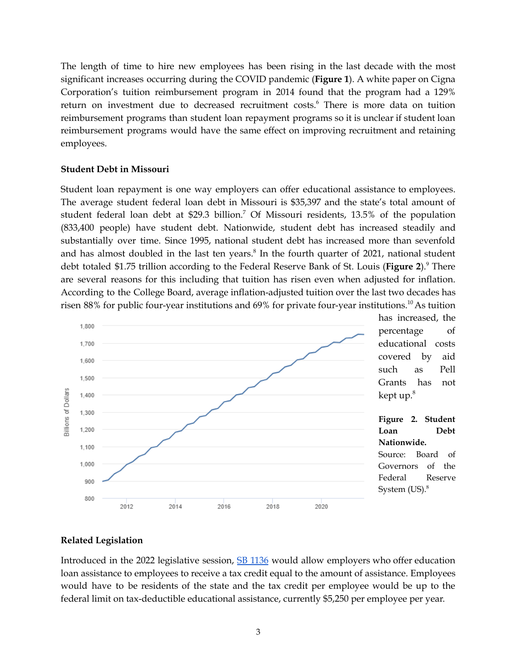The length of time to hire new employees has been rising in the last decade with the most significant increases occurring during the COVID pandemic (**Figure 1**). A white paper on Cigna Corporation's tuition reimbursement program in 2014 found that the program had a 129% return on investment due to decreased recruitment costs. <sup>6</sup> There is more data on tuition reimbursement programs than student loan repayment programs so it is unclear if student loan reimbursement programs would have the same effect on improving recruitment and retaining employees.

#### **Student Debt in Missouri**

Student loan repayment is one way employers can offer educational assistance to employees. The average student federal loan debt in Missouri is \$35,397 and the state's total amount of student federal loan debt at \$29.3 billion. <sup>7</sup> Of Missouri residents, 13.5% of the population (833,400 people) have student debt. Nationwide, student debt has increased steadily and substantially over time. Since 1995, national student debt has increased more than sevenfold and has almost doubled in the last ten years. 8 In the fourth quarter of 2021, national student debt totaled \$1.75 trillion according to the Federal Reserve Bank of St. Louis (**Figure 2**). <sup>9</sup> There are several reasons for this including that tuition has risen even when adjusted for inflation. According to the College Board, average inflation-adjusted tuition over the last two decades has risen 88% for public four-year institutions and 69% for private four-year institutions.<sup>10</sup> As tuition



### **Related Legislation**

Introduced in the 2022 legislative session, SB [1136](https://www.senate.mo.gov/22info/BTS_Web/Bill.aspx?SessionType=R&BillID=75554858) would allow employers who offer education loan assistance to employees to receive a tax credit equal to the amount of assistance. Employees would have to be residents of the state and the tax credit per employee would be up to the federal limit on tax-deductible educational assistance, currently \$5,250 per employee per year.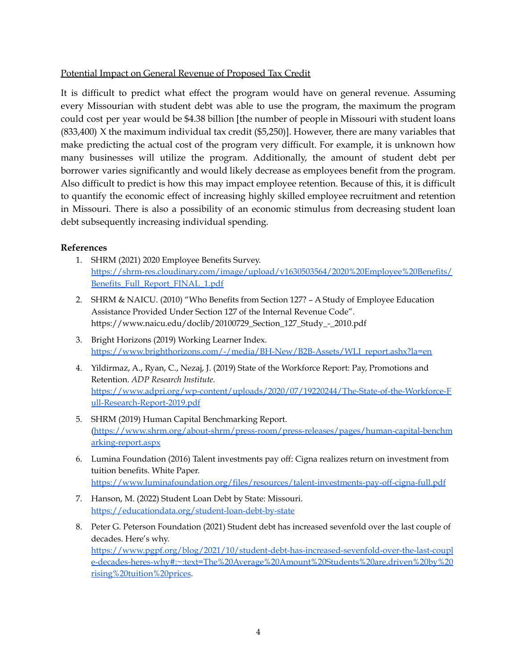## Potential Impact on General Revenue of Proposed Tax Credit

It is difficult to predict what effect the program would have on general revenue. Assuming every Missourian with student debt was able to use the program, the maximum the program could cost per year would be \$4.38 billion [the number of people in Missouri with student loans (833,400) X the maximum individual tax credit (\$5,250)]. However, there are many variables that make predicting the actual cost of the program very difficult. For example, it is unknown how many businesses will utilize the program. Additionally, the amount of student debt per borrower varies significantly and would likely decrease as employees benefit from the program. Also difficult to predict is how this may impact employee retention. Because of this, it is difficult to quantify the economic effect of increasing highly skilled employee recruitment and retention in Missouri. There is also a possibility of an economic stimulus from decreasing student loan debt subsequently increasing individual spending.

### **References**

- 1. SHRM (2021) 2020 Employee Benefits Survey. [https://shrm-res.cloudinary.com/image/upload/v1630503564/2020%20Employee%20Benefits/](https://shrm-res.cloudinary.com/image/upload/v1630503564/2020%20Employee%20Benefits/Benefits_Full_Report_FINAL_1.pdf) [Benefits\\_Full\\_Report\\_FINAL\\_1.pdf](https://shrm-res.cloudinary.com/image/upload/v1630503564/2020%20Employee%20Benefits/Benefits_Full_Report_FINAL_1.pdf)
- 2. SHRM & NAICU. (2010) "Who Benefits from Section 127? A Study of Employee Education Assistance Provided Under Section 127 of the Internal Revenue Code". https://www.naicu.edu/doclib/20100729\_Section\_127\_Study\_-\_2010.pdf
- 3. Bright Horizons (2019) Working Learner Index. [https://www.brighthorizons.com/-/media/BH-New/B2B-Assets/WLI\\_report.ashx?la=en](https://www.brighthorizons.com/-/media/BH-New/B2B-Assets/WLI_report.ashx?la=en)
- 4. Yildirmaz, A., Ryan, C., Nezaj, J. (2019) State of the Workforce Report: Pay, Promotions and Retention. *ADP Research Institute.* [https://www.adpri.org/wp-content/uploads/2020/07/19220244/The-State-of-the-Workforce-F](https://www.adpri.org/wp-content/uploads/2020/07/19220244/The-State-of-the-Workforce-Full-Research-Report-2019.pdf) [ull-Research-Report-2019.pdf](https://www.adpri.org/wp-content/uploads/2020/07/19220244/The-State-of-the-Workforce-Full-Research-Report-2019.pdf)
- 5. SHRM (2019) Human Capital Benchmarking Report. [\(https://www.shrm.org/about-shrm/press-room/press-releases/pages/human-capital-benchm](https://www.shrm.org/about-shrm/press-room/press-releases/pages/human-capital-benchmarking-report.aspx) [arking-report.aspx](https://www.shrm.org/about-shrm/press-room/press-releases/pages/human-capital-benchmarking-report.aspx)
- 6. Lumina Foundation (2016) Talent investments pay off: Cigna realizes return on investment from tuition benefits. White Paper. <https://www.luminafoundation.org/files/resources/talent-investments-pay-off-cigna-full.pdf>
- 7. Hanson, M. (2022) Student Loan Debt by State: Missouri. <https://educationdata.org/student-loan-debt-by-state>
- 8. Peter G. Peterson Foundation (2021) Student debt has increased sevenfold over the last couple of decades. Here's why. [https://www.pgpf.org/blog/2021/10/student-debt-has-increased-sevenfold-over-the-last-coupl](https://www.pgpf.org/blog/2021/10/student-debt-has-increased-sevenfold-over-the-last-couple-decades-heres-why#:~:text=The%20Average%20Amount%20Students%20are,driven%20by%20rising%20tuition%20prices) [e-decades-heres-why#:~:text=The%20Average%20Amount%20Students%20are,driven%20by%20](https://www.pgpf.org/blog/2021/10/student-debt-has-increased-sevenfold-over-the-last-couple-decades-heres-why#:~:text=The%20Average%20Amount%20Students%20are,driven%20by%20rising%20tuition%20prices) [rising%20tuition%20prices](https://www.pgpf.org/blog/2021/10/student-debt-has-increased-sevenfold-over-the-last-couple-decades-heres-why#:~:text=The%20Average%20Amount%20Students%20are,driven%20by%20rising%20tuition%20prices).